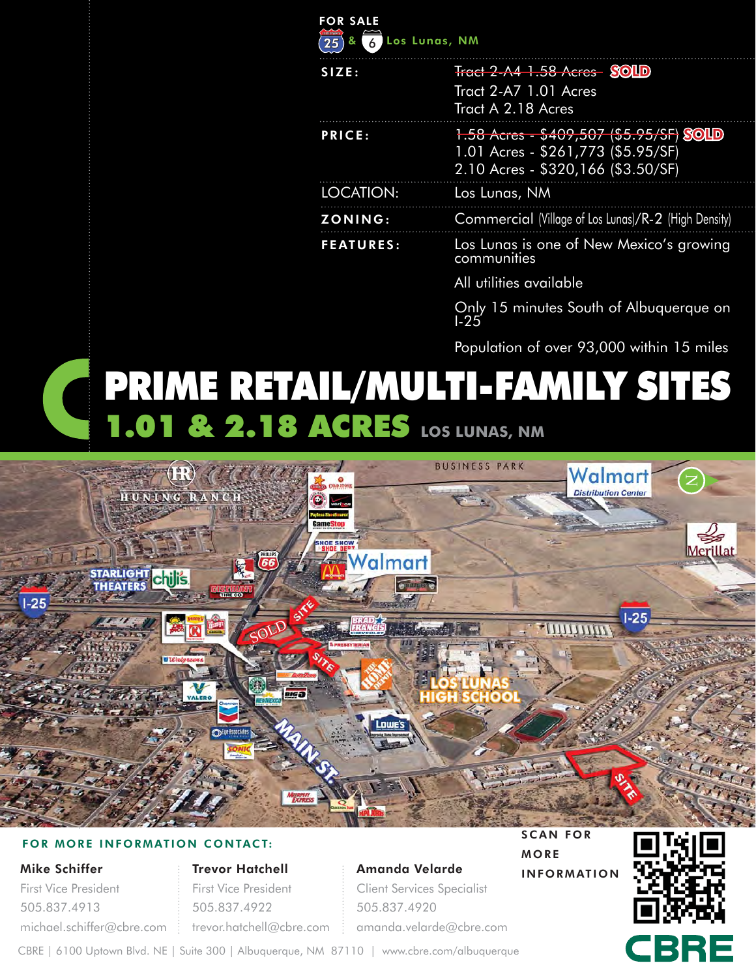| <b>FOR SALE</b><br>ୡ<br>25 | Los Lunas, NM                                                                                                       |
|----------------------------|---------------------------------------------------------------------------------------------------------------------|
| SIZE:                      | <b>Tract 2-A4 1.58 Acres SOLD</b><br>Tract 2-A7 1.01 Acres<br>Tract A 2.18 Acres                                    |
| <b>PRICE:</b>              | 1.58 Acres - \$409,507 (\$5.95/SF) SOLD<br>1.01 Acres - \$261,773 (\$5.95/SF)<br>2.10 Acres - \$320,166 (\$3.50/SF) |
| LOCATION:                  | Los Lunas, NM                                                                                                       |
| ZONING:                    | Commercial (Village of Los Lunas)/R-2 (High Density)                                                                |
| <b>FEATURES:</b>           | Los Lunas is one of New Mexico's growing<br>communities                                                             |
|                            | All utilities available                                                                                             |
|                            | $\bigcap_{n=1}^{\infty}$ . The set of the set of $\bigcap_{n=1}^{\infty}$ is a set of $\bigcap_{n=1}^{\infty}$      |

nınutes South ot Albuquerque on  $\frac{0.01}{1.25}$ 

Population of over 93,000 within 15 miles

# PRIME RETAIL/MULTI-FAMILY SITES **1.01 & 2.18 ACRES** LOS LUNAS, NM



#### FOR MORE INFORMATION CONTACT:

#### Mike Schiffer

First Vice President 505.837.4913 michael.schiffer@cbre.com Trevor Hatchell First Vice President 505.837.4922 trevor.hatchell@cbre.com amanda.velarde@cbre.com

Amanda Velarde Client Services Specialist

505.837.4920

SCAN FOR

INFORMATION

MORE

CBRE

CBRE | 6100 Uptown Blvd. NE | Suite 300 | Albuquerque, NM 87110 | www.cbre.com/albuquerque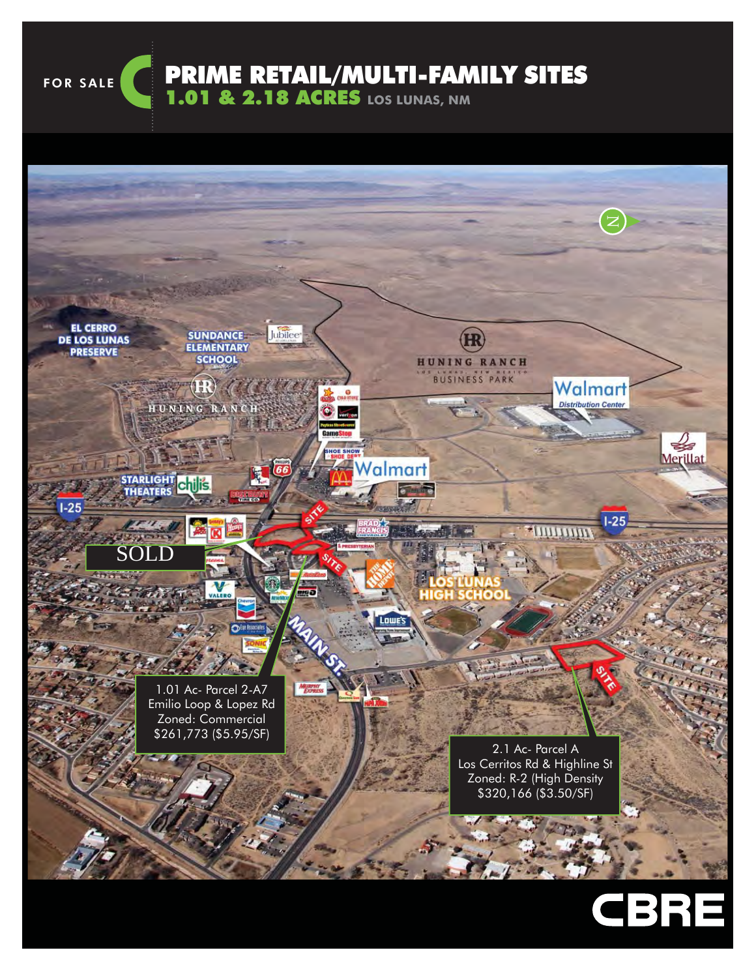FOR SALE

PRIME RETAIL/MULTI-FAMILY SITES

1.01 & 2.18 ACRES **LOS LUNAS, NM**

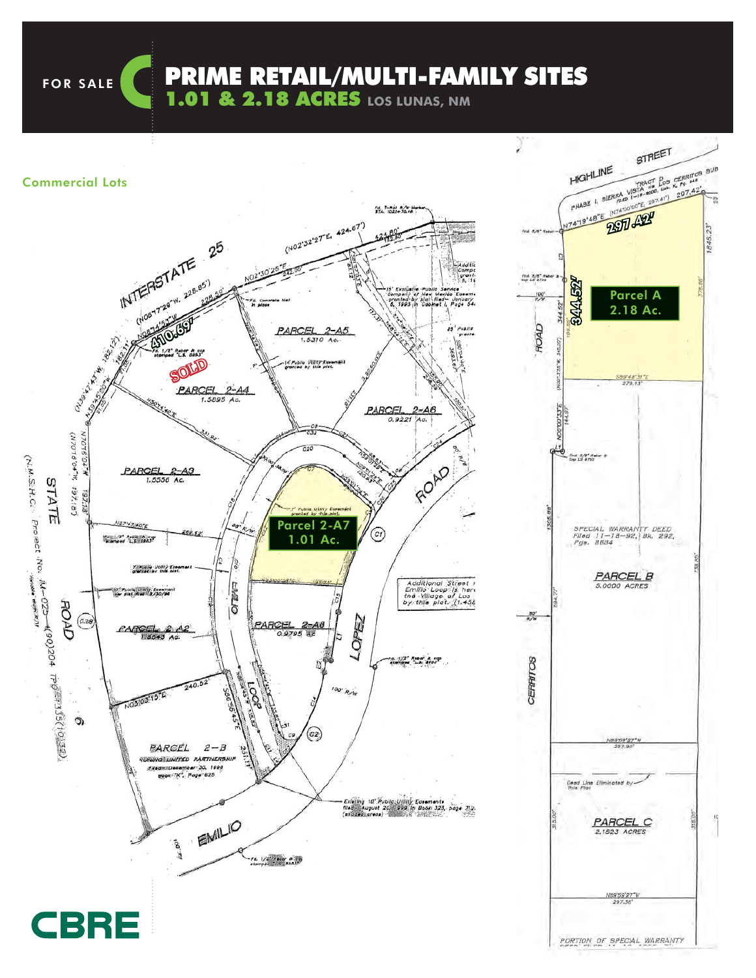FOR SALE **CONNEXT PRIME RETAIL/MULTI-FAMILY SITES** 

1.01 & 2.18 ACRES **LOS LUNAS, NM**